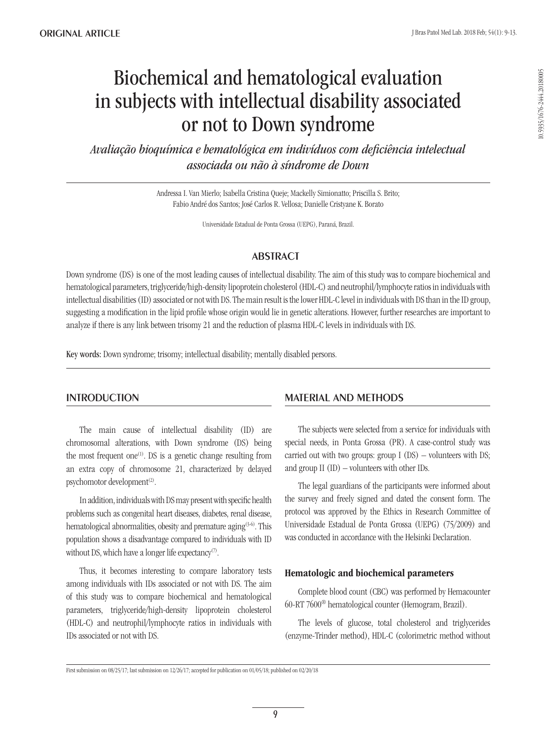# Biochemical and hematological evaluation in subjects with intellectual disability associated or not to Down syndrome

*Avaliação bioquímica e hematológica em indivíduos com deficiência intelectual associada ou não à síndrome de Down*

> Andressa I. Van Mierlo; Isabella Cristina Queje; Mackelly Simionatto; Priscilla S. Brito; Fabio André dos Santos; José Carlos R. Vellosa; Danielle Cristyane K. Borato

> > Universidade Estadual de Ponta Grossa (UEPG), Paraná, Brazil.

## **ABSTRACT**

Down syndrome (DS) is one of the most leading causes of intellectual disability. The aim of this study was to compare biochemical and hematological parameters, triglyceride/high-density lipoprotein cholesterol (HDL-C) and neutrophil/lymphocyte ratios in individuals with intellectual disabilities (ID) associated or not with DS. The main result is the lower HDL-C level in individuals with DS than in the ID group, suggesting a modification in the lipid profile whose origin would lie in genetic alterations. However, further researches are important to analyze if there is any link between trisomy 21 and the reduction of plasma HDL-C levels in individuals with DS.

Key words: Down syndrome; trisomy; intellectual disability; mentally disabled persons.

## **INTRODUCTION**

The main cause of intellectual disability (ID) are chromosomal alterations, with Down syndrome (DS) being the most frequent one<sup>(1)</sup>. DS is a genetic change resulting from an extra copy of chromosome 21, characterized by delayed psychomotor development<sup>(2)</sup>.

In addition, individuals with DS may present with specific health problems such as congenital heart diseases, diabetes, renal disease, hematological abnormalities, obesity and premature aging<sup>(3-6)</sup>. This population shows a disadvantage compared to individuals with ID without DS, which have a longer life expectancy<sup>(7)</sup>.

Thus, it becomes interesting to compare laboratory tests among individuals with IDs associated or not with DS. The aim of this study was to compare biochemical and hematological parameters, triglyceride/high-density lipoprotein cholesterol (HDL-C) and neutrophil/lymphocyte ratios in individuals with IDs associated or not with DS.

## Material and methods

The subjects were selected from a service for individuals with special needs, in Ponta Grossa (PR). A case-control study was carried out with two groups: group  $I(DS)$  – volunteers with DS; and group II (ID) – volunteers with other IDs.

The legal guardians of the participants were informed about the survey and freely signed and dated the consent form. The protocol was approved by the Ethics in Research Committee of Universidade Estadual de Ponta Grossa (UEPG) (75/2009) and was conducted in accordance with the Helsinki Declaration.

## Hematologic and biochemical parameters

Complete blood count (CBC) was performed by Hemacounter 60-RT 7600® hematological counter (Hemogram, Brazil).

The levels of glucose, total cholesterol and triglycerides (enzyme-Trinder method), HDL-C (colorimetric method without

First submission on 08/25/17; last submission on 12/26/17; accepted for publication on 01/05/18; published on 02/20/18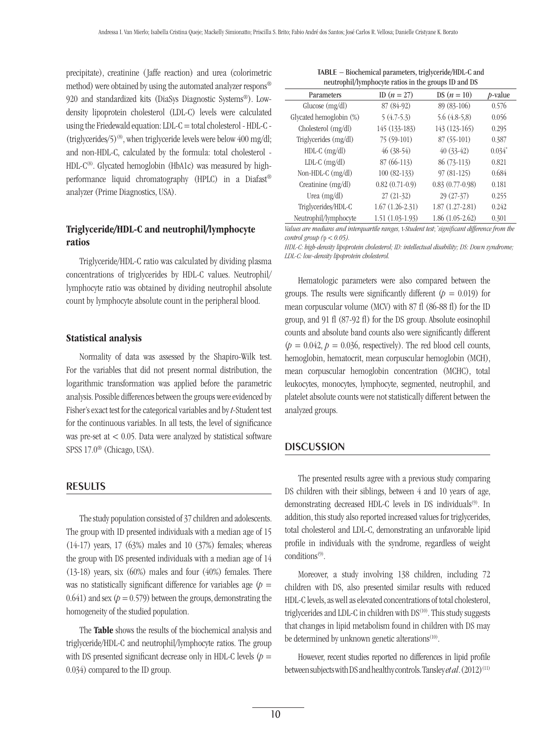precipitate), creatinine ( Jaffe reaction) and urea (colorimetric method) were obtained by using the automated analyzer respons® 920 and standardized kits (DiaSys Diagnostic Systems®). Lowdensity lipoprotein cholesterol (LDL-C) levels were calculated using the Friedewald equation: LDL-C = total cholesterol - HDL-C - (triglycerides/5)<sup>(8)</sup>, when triglyceride levels were below 400 mg/dl; and non-HDL-C, calculated by the formula: total cholesterol - HDL- $C^{(8)}$ . Glycated hemoglobin (HbA1c) was measured by highperformance liquid chromatography (HPLC) in a Diafast® analyzer (Prime Diagnostics, USA).

## Triglyceride/HDL-C and neutrophil/lymphocyte ratios

Triglyceride/HDL-C ratio was calculated by dividing plasma concentrations of triglycerides by HDL-C values. Neutrophil/ lymphocyte ratio was obtained by dividing neutrophil absolute count by lymphocyte absolute count in the peripheral blood.

#### Statistical analysis

Normality of data was assessed by the Shapiro-Wilk test. For the variables that did not present normal distribution, the logarithmic transformation was applied before the parametric analysis. Possible differences between the groups were evidenced by Fisher's exact test for the categorical variables and by *t*-Student test for the continuous variables. In all tests, the level of significance was pre-set at < 0.05. Data were analyzed by statistical software SPSS 17.0® (Chicago, USA).

#### **RESULTS**

The study population consisted of 37 children and adolescents. The group with ID presented individuals with a median age of 15 (14-17) years, 17 (63%) males and 10 (37%) females; whereas the group with DS presented individuals with a median age of 14 (13-18) years, six (60%) males and four (40%) females. There was no statistically significant difference for variables age  $(p =$  $0.641$ ) and sex ( $p = 0.579$ ) between the groups, demonstrating the homogeneity of the studied population.

The Table shows the results of the biochemical analysis and triglyceride/HDL-C and neutrophil/lymphocyte ratios. The group with DS presented significant decrease only in HDL-C levels  $(p =$ 0.034) compared to the ID group.

| TABLE – Biochemical parameters, triglyceride/HDL-C and |
|--------------------------------------------------------|
| neutrophil/lymphocyte ratios in the groups ID and DS   |

| Parameters              | ID $(n = 27)$     | DS $(n = 10)$        | <i>p</i> -value |
|-------------------------|-------------------|----------------------|-----------------|
| Glucose $(mg/dl)$       | 87 (84-92)        | 89 (83-106)          | 0.576           |
| Glycated hemoglobin (%) | $5(4.7-5.3)$      | $5.6(4.8-5,8)$       | 0.056           |
| Cholesterol (mg/dl)     | 145 (133-183)     | 143 (123-165)        | 0.295           |
| Triglycerides (mg/dl)   | 75 (59-101)       | 87 (55-101)          | 0.387           |
| $HDL-C$ (mg/dl)         | $46(38-54)$       | $40(33-42)$          | $0.034*$        |
| $LDL-C$ (mg/dl)         | 87 (66-113)       | 86 (73-113)          | 0.821           |
| Non-HDL-C $(mg/dl)$     | 100 (82-133)      | 97 (81-125)          | 0.684           |
| Creatinine (mg/dl)      | $0.82(0.71-0.9)$  | $0.83$ $(0.77-0.98)$ | 0.181           |
| Urea $(mg/dl)$          | $27(21-32)$       | 29 (27-37)           | 0.255           |
| Triglycerides/HDL-C     | $1.67(1.26-2.31)$ | $1.87(1.27-2.81)$    | 0.242           |
| Neutrophil/lymphocyte   | $1.51(1.03-1.93)$ | $1.86(1.05-2.62)$    | 0.301           |

*Values are medians and interquartile ranges,* t*-Student test*; *\* significant difference from the control group (*p *< 0.05).*

*HDL-C: high-density lipoprotein cholesterol; ID: intellectual disability; DS: Down syndrome; LDL-C: low-density lipoprotein cholesterol.*

Hematologic parameters were also compared between the groups. The results were significantly different  $(p = 0.019)$  for mean corpuscular volume (MCV) with 87 fl (86-88 fl) for the ID group, and 91 fl (87-92 fl) for the DS group. Absolute eosinophil counts and absolute band counts also were significantly different  $(p = 0.042, p = 0.036,$  respectively). The red blood cell counts, hemoglobin, hematocrit, mean corpuscular hemoglobin (MCH), mean corpuscular hemoglobin concentration (MCHC), total leukocytes, monocytes, lymphocyte, segmented, neutrophil, and platelet absolute counts were not statistically different between the analyzed groups.

#### **DISCUSSION**

The presented results agree with a previous study comparing DS children with their siblings, between 4 and 10 years of age, demonstrating decreased HDL-C levels in DS individuals<sup>(9)</sup>. In addition, this study also reported increased values for triglycerides, total cholesterol and LDL-C, demonstrating an unfavorable lipid profile in individuals with the syndrome, regardless of weight  $conditions<sup>(9)</sup>$ .

Moreover, a study involving 138 children, including 72 children with DS, also presented similar results with reduced HDL-C levels, as well as elevated concentrations of total cholesterol, triglycerides and LDL-C in children with DS<sup>(10)</sup>. This study suggests that changes in lipid metabolism found in children with DS may be determined by unknown genetic alterations $(10)$ .

However, recent studies reported no differences in lipid profile between subjects with DS and healthy controls. Tansley *et al*. (2012)<sup>(11)</sup>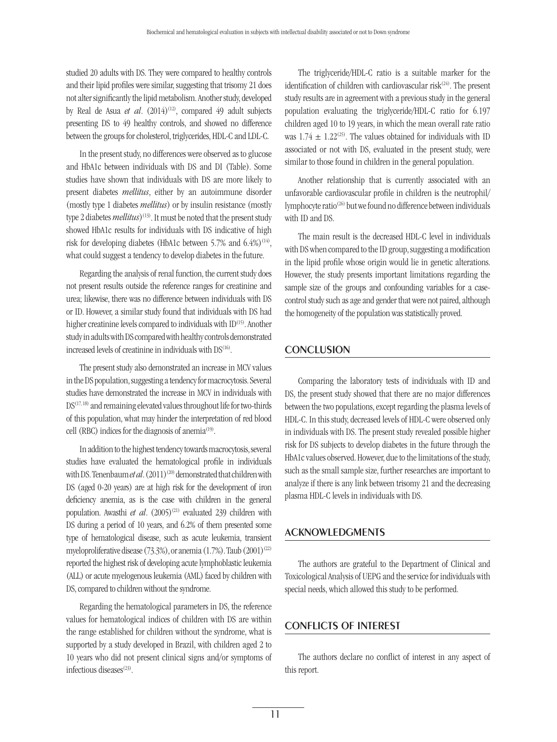studied 20 adults with DS. They were compared to healthy controls and their lipid profiles were similar, suggesting that trisomy 21 does not alter significantly the lipid metabolism. Another study, developed by Real de Asua *et al.* (2014)<sup>(12)</sup>, compared 49 adult subjects presenting DS to 49 healthy controls, and showed no difference between the groups for cholesterol, triglycerides, HDL-C and LDL-C.

In the present study, no differences were observed as to glucose and HbA1c between individuals with DS and DI (Table). Some studies have shown that individuals with DS are more likely to present diabetes *mellitus*, either by an autoimmune disorder (mostly type 1 diabetes *mellitus*) or by insulin resistance (mostly type 2 diabetes *mellitus*)<sup>(13)</sup>. It must be noted that the present study showed HbA1c results for individuals with DS indicative of high risk for developing diabetes (HbA1c between 5.7% and  $6.4\%)$ <sup>(14)</sup>, what could suggest a tendency to develop diabetes in the future.

Regarding the analysis of renal function, the current study does not present results outside the reference ranges for creatinine and urea; likewise, there was no difference between individuals with DS or ID. However, a similar study found that individuals with DS had higher creatinine levels compared to individuals with ID<sup>(15)</sup>. Another study in adults with DS compared with healthy controls demonstrated increased levels of creatinine in individuals with DS(16).

The present study also demonstrated an increase in MCV values in the DS population, suggesting a tendency for macrocytosis. Several studies have demonstrated the increase in MCV in individuals with DS(17, 18) and remaining elevated values throughout life for two-thirds of this population, what may hinder the interpretation of red blood cell (RBC) indices for the diagnosis of anemia<sup>(19)</sup>.

In addition to the highest tendency towards macrocytosis, several studies have evaluated the hematological profile in individuals with DS. Tenenbaum *et al.* (2011)<sup>(20)</sup> demonstrated that children with DS (aged 0-20 years) are at high risk for the development of iron deficiency anemia, as is the case with children in the general population. Awasthi *et al.* (2005)<sup>(21)</sup> evaluated 239 children with DS during a period of 10 years, and 6.2% of them presented some type of hematological disease, such as acute leukemia, transient myeloproliferative disease  $(73.3\%)$ , or anemia  $(1.7\%)$ . Taub  $(2001)^{(22)}$ reported the highest risk of developing acute lymphoblastic leukemia (ALL) or acute myelogenous leukemia (AML) faced by children with DS, compared to children without the syndrome.

Regarding the hematological parameters in DS, the reference values for hematological indices of children with DS are within the range established for children without the syndrome, what is supported by a study developed in Brazil, with children aged 2 to 10 years who did not present clinical signs and/or symptoms of infectious diseases<sup>(23)</sup>.

The triglyceride/HDL-C ratio is a suitable marker for the identification of children with cardiovascular risk $(24)$ . The present study results are in agreement with a previous study in the general population evaluating the triglyceride/HDL-C ratio for 6.197 children aged 10 to 19 years, in which the mean overall rate ratio was  $1.74 \pm 1.22^{\text{(25)}}$ . The values obtained for individuals with ID associated or not with DS, evaluated in the present study, were similar to those found in children in the general population.

Another relationship that is currently associated with an unfavorable cardiovascular profile in children is the neutrophil/ lymphocyte ratio(26) but we found no difference between individuals with ID and DS.

The main result is the decreased HDL-C level in individuals with DS when compared to the ID group, suggesting a modification in the lipid profile whose origin would lie in genetic alterations. However, the study presents important limitations regarding the sample size of the groups and confounding variables for a casecontrol study such as age and gender that were not paired, although the homogeneity of the population was statistically proved.

## **CONCLUSION**

Comparing the laboratory tests of individuals with ID and DS, the present study showed that there are no major differences between the two populations, except regarding the plasma levels of HDL-C. In this study, decreased levels of HDL-C were observed only in individuals with DS. The present study revealed possible higher risk for DS subjects to develop diabetes in the future through the HbA1c values observed. However, due to the limitations of the study, such as the small sample size, further researches are important to analyze if there is any link between trisomy 21 and the decreasing plasma HDL-C levels in individuals with DS.

#### Acknowledgments

The authors are grateful to the Department of Clinical and Toxicological Analysis of UEPG and the service for individuals with special needs, which allowed this study to be performed.

### Conflicts of interest

The authors declare no conflict of interest in any aspect of this report.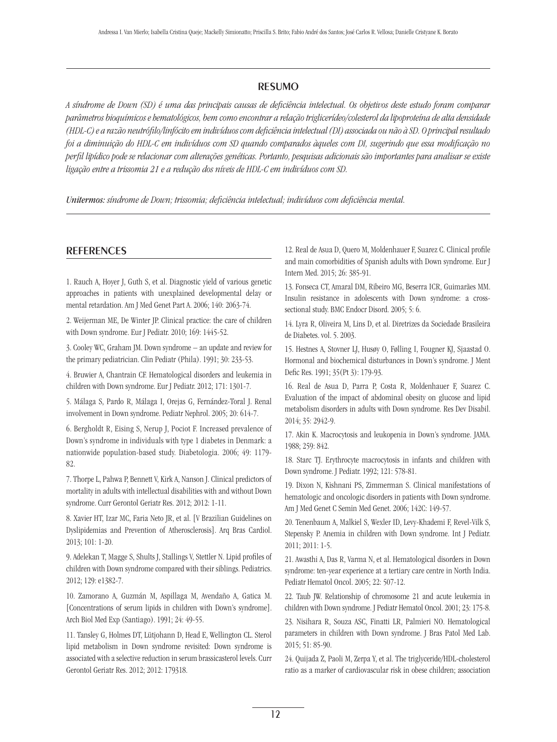## resumo

*A síndrome de Down (SD) é uma das principais causas de deficiência intelectual. Os objetivos deste estudo foram comparar parâmetros bioquímicos e hematológicos, bem como encontrar a relação triglicerídeo/colesterol da lipoproteína de alta densidade (HDL-C) e a razão neutrófilo/linfócito em indivíduos com deficiência intelectual (DI) associada ou não à SD. O principal resultado foi a diminuição do HDL-C em indivíduos com SD quando comparados àqueles com DI, sugerindo que essa modificação no perfil lipídico pode se relacionar com alterações genéticas. Portanto, pesquisas adicionais são importantes para analisar se existe ligação entre a trissomia 21 e a redução dos níveis de HDL-C em indivíduos com SD.*

*Unitermos: síndrome de Down; trissomia; deficiência intelectual; indivíduos com deficiência mental.*

### **REFERENCES**

1. Rauch A, Hoyer J, Guth S, et al. Diagnostic yield of various genetic approaches in patients with unexplained developmental delay or mental retardation. Am J Med Genet Part A. 2006; 140: 2063-74.

2. Weijerman ME, De Winter JP. Clinical practice: the care of children with Down syndrome. Eur J Pediatr. 2010; 169: 1445-52.

3. Cooley WC, Graham JM. Down syndrome – an update and review for the primary pediatrician. Clin Pediatr (Phila). 1991; 30: 233-53.

4. Bruwier A, Chantrain CF. Hematological disorders and leukemia in children with Down syndrome. Eur J Pediatr. 2012; 171: 1301-7.

5. Málaga S, Pardo R, Málaga I, Orejas G, Fernández-Toral J. Renal involvement in Down syndrome. Pediatr Nephrol. 2005; 20: 614-7.

6. Bergholdt R, Eising S, Nerup J, Pociot F. Increased prevalence of Down's syndrome in individuals with type 1 diabetes in Denmark: a nationwide population-based study. Diabetologia. 2006; 49: 1179- 82.

7. Thorpe L, Pahwa P, Bennett V, Kirk A, Nanson J. Clinical predictors of mortality in adults with intellectual disabilities with and without Down syndrome. Curr Gerontol Geriatr Res. 2012; 2012: 1-11.

8. Xavier HT, Izar MC, Faria Neto JR, et al. [V Brazilian Guidelines on Dyslipidemias and Prevention of Atherosclerosis]. Arq Bras Cardiol. 2013; 101: 1-20.

9. Adelekan T, Magge S, Shults J, Stallings V, Stettler N. Lipid profiles of children with Down syndrome compared with their siblings. Pediatrics. 2012; 129: e1382-7.

10. Zamorano A, Guzmán M, Aspillaga M, Avendaño A, Gatica M. [Concentrations of serum lipids in children with Down's syndrome]. Arch Biol Med Exp (Santiago). 1991; 24: 49-55.

11. Tansley G, Holmes DT, Lütjohann D, Head E, Wellington CL. Sterol lipid metabolism in Down syndrome revisited: Down syndrome is associated with a selective reduction in serum brassicasterol levels. Curr Gerontol Geriatr Res. 2012; 2012: 179318.

12. Real de Asua D, Quero M, Moldenhauer F, Suarez C. Clinical profile and main comorbidities of Spanish adults with Down syndrome. Eur J Intern Med. 2015; 26: 385-91.

13. Fonseca CT, Amaral DM, Ribeiro MG, Beserra ICR, Guimarães MM. Insulin resistance in adolescents with Down syndrome: a crosssectional study. BMC Endocr Disord. 2005; 5: 6.

14. Lyra R, Oliveira M, Lins D, et al. Diretrizes da Sociedade Brasileira de Diabetes. vol. 5. 2003.

15. Hestnes A, Stovner LJ, Husøy O, Følling I, Fougner KJ, Sjaastad O. Hormonal and biochemical disturbances in Down's syndrome. J Ment Defic Res. 1991; 35(Pt 3): 179-93.

16. Real de Asua D, Parra P, Costa R, Moldenhauer F, Suarez C. Evaluation of the impact of abdominal obesity on glucose and lipid metabolism disorders in adults with Down syndrome. Res Dev Disabil. 2014; 35: 2942-9.

17. Akin K. Macrocytosis and leukopenia in Down's syndrome. JAMA. 1988; 259: 842.

18. Starc TJ. Erythrocyte macrocytosis in infants and children with Down syndrome. J Pediatr. 1992; 121: 578-81.

19. Dixon N, Kishnani PS, Zimmerman S. Clinical manifestations of hematologic and oncologic disorders in patients with Down syndrome. Am J Med Genet C Semin Med Genet. 2006; 142C: 149-57.

20. Tenenbaum A, Malkiel S, Wexler ID, Levy-Khademi F, Revel-Vilk S, Stepensky P. Anemia in children with Down syndrome. Int J Pediatr. 2011; 2011: 1-5.

21. Awasthi A, Das R, Varma N, et al. Hematological disorders in Down syndrome: ten-year experience at a tertiary care centre in North India. Pediatr Hematol Oncol. 2005; 22: 507-12.

22. Taub JW. Relationship of chromosome 21 and acute leukemia in children with Down syndrome. J Pediatr Hematol Oncol. 2001; 23: 175-8.

23. Nisihara R, Souza ASC, Finatti LR, Palmieri NO. Hematological parameters in children with Down syndrome. J Bras Patol Med Lab. 2015; 51: 85-90.

24. Quijada Z, Paoli M, Zerpa Y, et al. The triglyceride/HDL-cholesterol ratio as a marker of cardiovascular risk in obese children; association